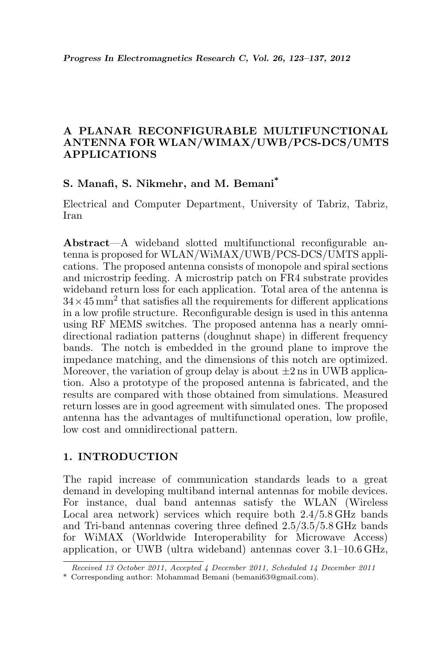# A PLANAR RECONFIGURABLE MULTIFUNCTIONAL ANTENNA FOR WLAN/WIMAX/UWB/PCS-DCS/UMTS APPLICATIONS

## S. Manafi, S. Nikmehr, and M. Bemani\*

Electrical and Computer Department, University of Tabriz, Tabriz, Iran

Abstract—A wideband slotted multifunctional reconfigurable antenna is proposed for WLAN/WiMAX/UWB/PCS-DCS/UMTS applications. The proposed antenna consists of monopole and spiral sections and microstrip feeding. A microstrip patch on FR4 substrate provides wideband return loss for each application. Total area of the antenna is  $34 \times 45$  mm<sup>2</sup> that satisfies all the requirements for different applications in a low profile structure. Reconfigurable design is used in this antenna using RF MEMS switches. The proposed antenna has a nearly omnidirectional radiation patterns (doughnut shape) in different frequency bands. The notch is embedded in the ground plane to improve the impedance matching, and the dimensions of this notch are optimized. Moreover, the variation of group delay is about  $\pm 2$  ns in UWB application. Also a prototype of the proposed antenna is fabricated, and the results are compared with those obtained from simulations. Measured return losses are in good agreement with simulated ones. The proposed antenna has the advantages of multifunctional operation, low profile, low cost and omnidirectional pattern.

## 1. INTRODUCTION

The rapid increase of communication standards leads to a great demand in developing multiband internal antennas for mobile devices. For instance, dual band antennas satisfy the WLAN (Wireless Local area network) services which require both 2.4/5.8 GHz bands and Tri-band antennas covering three defined 2.5/3.5/5.8 GHz bands for WiMAX (Worldwide Interoperability for Microwave Access) application, or UWB (ultra wideband) antennas cover 3.1–10.6 GHz,

Received 13 October 2011, Accepted 4 December 2011, Scheduled 14 December 2011

<sup>\*</sup> Corresponding author: Mohammad Bemani (bemani63@gmail.com).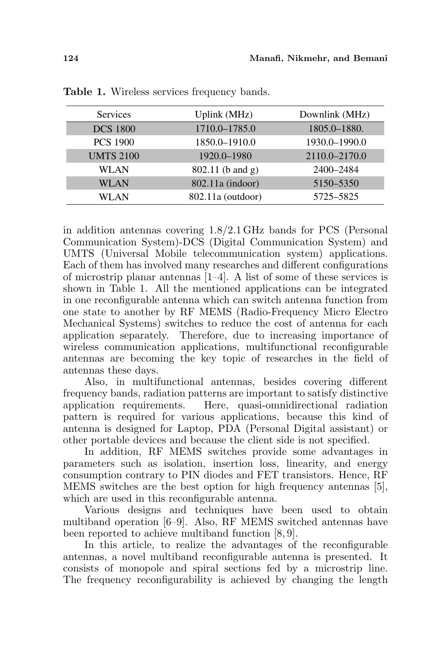| <b>Services</b>  | Uplink (MHz)       | Downlink (MHz) |
|------------------|--------------------|----------------|
| <b>DCS 1800</b>  | 1710.0-1785.0      | 1805.0-1880.   |
| <b>PCS 1900</b>  | 1850.0-1910.0      | 1930.0-1990.0  |
| <b>UMTS 2100</b> | 1920.0-1980        | 2110.0-2170.0  |
| WLAN             | $802.11$ (b and g) | 2400-2484      |
| <b>WLAN</b>      | 802.11a (indoor)   | 5150-5350      |
| WLAN             | 802.11a (outdoor)  | 5725-5825      |

|  | Table 1. Wireless services frequency bands. |  |
|--|---------------------------------------------|--|
|  |                                             |  |

in addition antennas covering 1.8/2.1 GHz bands for PCS (Personal Communication System)-DCS (Digital Communication System) and UMTS (Universal Mobile telecommunication system) applications. Each of them has involved many researches and different configurations of microstrip planar antennas  $[1-4]$ . A list of some of these services is shown in Table 1. All the mentioned applications can be integrated in one reconfigurable antenna which can switch antenna function from one state to another by RF MEMS (Radio-Frequency Micro Electro Mechanical Systems) switches to reduce the cost of antenna for each application separately. Therefore, due to increasing importance of wireless communication applications, multifunctional reconfigurable antennas are becoming the key topic of researches in the field of antennas these days.

Also, in multifunctional antennas, besides covering different frequency bands, radiation patterns are important to satisfy distinctive application requirements. Here, quasi-omnidirectional radiation pattern is required for various applications, because this kind of antenna is designed for Laptop, PDA (Personal Digital assistant) or other portable devices and because the client side is not specified.

In addition, RF MEMS switches provide some advantages in parameters such as isolation, insertion loss, linearity, and energy consumption contrary to PIN diodes and FET transistors. Hence, RF MEMS switches are the best option for high frequency antennas [5], which are used in this reconfigurable antenna.

Various designs and techniques have been used to obtain multiband operation [6–9]. Also, RF MEMS switched antennas have been reported to achieve multiband function [8, 9].

In this article, to realize the advantages of the reconfigurable antennas, a novel multiband reconfigurable antenna is presented. It consists of monopole and spiral sections fed by a microstrip line. The frequency reconfigurability is achieved by changing the length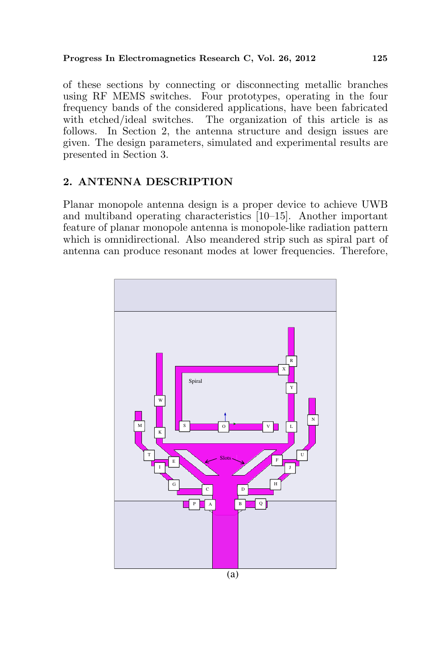### Progress In Electromagnetics Research C, Vol. 26, 2012 125

of these sections by connecting or disconnecting metallic branches using RF MEMS switches. Four prototypes, operating in the four frequency bands of the considered applications, have been fabricated with etched/ideal switches. The organization of this article is as follows. In Section 2, the antenna structure and design issues are given. The design parameters, simulated and experimental results are presented in Section 3.

# 2. ANTENNA DESCRIPTION

Planar monopole antenna design is a proper device to achieve UWB and multiband operating characteristics [10–15]. Another important feature of planar monopole antenna is monopole-like radiation pattern which is omnidirectional. Also meandered strip such as spiral part of antenna can produce resonant modes at lower frequencies. Therefore,

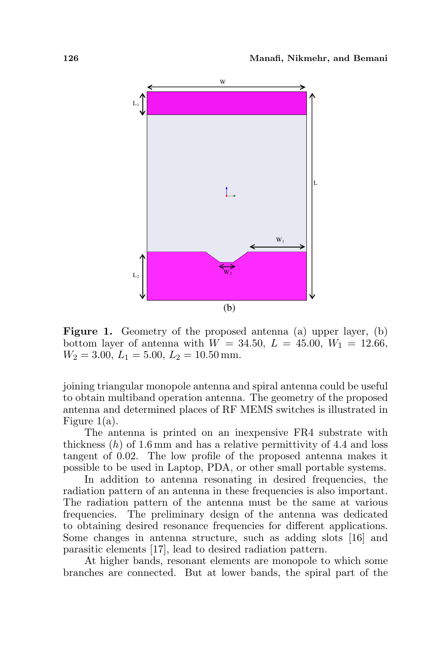

Figure 1. Geometry of the proposed antenna (a) upper layer, (b) bottom layer of antenna with  $W = 34.50, L = 45.00, W_1 = 12.66,$  $W_2 = 3.00, L_1 = 5.00, L_2 = 10.50$  mm.

joining triangular monopole antenna and spiral antenna could be useful to obtain multiband operation antenna. The geometry of the proposed antenna and determined places of RF MEMS switches is illustrated in Figure 1(a).

The antenna is printed on an inexpensive FR4 substrate with thickness  $(h)$  of 1.6 mm and has a relative permittivity of 4.4 and loss tangent of 0.02. The low profile of the proposed antenna makes it possible to be used in Laptop, PDA, or other small portable systems.

In addition to antenna resonating in desired frequencies, the radiation pattern of an antenna in these frequencies is also important. The radiation pattern of the antenna must be the same at various frequencies. The preliminary design of the antenna was dedicated to obtaining desired resonance frequencies for different applications. Some changes in antenna structure, such as adding slots [16] and parasitic elements [17], lead to desired radiation pattern.

At higher bands, resonant elements are monopole to which some branches are connected. But at lower bands, the spiral part of the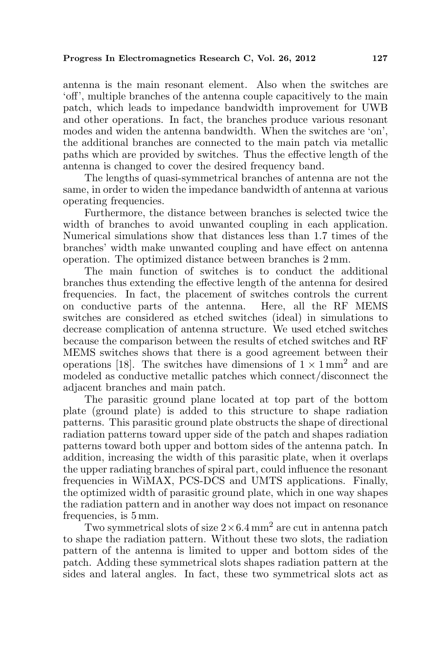antenna is the main resonant element. Also when the switches are 'off', multiple branches of the antenna couple capacitively to the main patch, which leads to impedance bandwidth improvement for UWB and other operations. In fact, the branches produce various resonant modes and widen the antenna bandwidth. When the switches are 'on', the additional branches are connected to the main patch via metallic paths which are provided by switches. Thus the effective length of the antenna is changed to cover the desired frequency band.

The lengths of quasi-symmetrical branches of antenna are not the same, in order to widen the impedance bandwidth of antenna at various operating frequencies.

Furthermore, the distance between branches is selected twice the width of branches to avoid unwanted coupling in each application. Numerical simulations show that distances less than 1.7 times of the branches' width make unwanted coupling and have effect on antenna operation. The optimized distance between branches is 2 mm.

The main function of switches is to conduct the additional branches thus extending the effective length of the antenna for desired frequencies. In fact, the placement of switches controls the current on conductive parts of the antenna. Here, all the RF MEMS switches are considered as etched switches (ideal) in simulations to decrease complication of antenna structure. We used etched switches because the comparison between the results of etched switches and RF MEMS switches shows that there is a good agreement between their operations [18]. The switches have dimensions of  $1 \times 1$  mm<sup>2</sup> and are modeled as conductive metallic patches which connect/disconnect the adjacent branches and main patch.

The parasitic ground plane located at top part of the bottom plate (ground plate) is added to this structure to shape radiation patterns. This parasitic ground plate obstructs the shape of directional radiation patterns toward upper side of the patch and shapes radiation patterns toward both upper and bottom sides of the antenna patch. In addition, increasing the width of this parasitic plate, when it overlaps the upper radiating branches of spiral part, could influence the resonant frequencies in WiMAX, PCS-DCS and UMTS applications. Finally, the optimized width of parasitic ground plate, which in one way shapes the radiation pattern and in another way does not impact on resonance frequencies, is 5 mm.

Two symmetrical slots of size  $2\times6.4$  mm<sup>2</sup> are cut in antenna patch to shape the radiation pattern. Without these two slots, the radiation pattern of the antenna is limited to upper and bottom sides of the patch. Adding these symmetrical slots shapes radiation pattern at the sides and lateral angles. In fact, these two symmetrical slots act as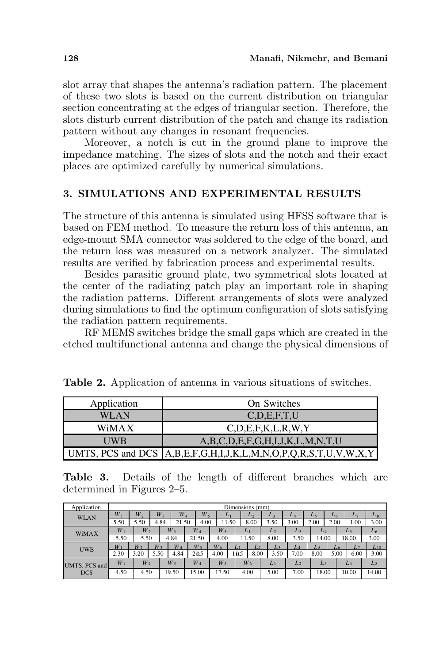slot array that shapes the antenna's radiation pattern. The placement of these two slots is based on the current distribution on triangular section concentrating at the edges of triangular section. Therefore, the slots disturb current distribution of the patch and change its radiation pattern without any changes in resonant frequencies.

Moreover, a notch is cut in the ground plane to improve the impedance matching. The sizes of slots and the notch and their exact places are optimized carefully by numerical simulations.

## 3. SIMULATIONS AND EXPERIMENTAL RESULTS

The structure of this antenna is simulated using HFSS software that is based on FEM method. To measure the return loss of this antenna, an edge-mount SMA connector was soldered to the edge of the board, and the return loss was measured on a network analyzer. The simulated results are verified by fabrication process and experimental results.

Besides parasitic ground plate, two symmetrical slots located at the center of the radiating patch play an important role in shaping the radiation patterns. Different arrangements of slots were analyzed during simulations to find the optimum configuration of slots satisfying the radiation pattern requirements.

RF MEMS switches bridge the small gaps which are created in the etched multifunctional antenna and change the physical dimensions of

| Application | On Switches                                                                             |
|-------------|-----------------------------------------------------------------------------------------|
| WLAN        | C, D, E, F, T, U                                                                        |
| WiMA X      | C, D, E, F, K, L, R, W, Y                                                               |
| <b>UWB</b>  | A,B,C,D,E,F,G,H,I,J,K,L,M,N,T,U                                                         |
|             | UMTS, PCS and DCS   A, B, E, F, G, H, I, J, K, L, M, N, O, P, Q, R, S, T, U, V, W, X, Y |

Table 2. Application of antenna in various situations of switches.

Table 3. Details of the length of different branches which are determined in Figures 2–5.

| Application   | Dimensions (mm) |                |       |       |                |                           |                |       |       |                |  |                |                |      |                |              |                |                |                |
|---------------|-----------------|----------------|-------|-------|----------------|---------------------------|----------------|-------|-------|----------------|--|----------------|----------------|------|----------------|--------------|----------------|----------------|----------------|
| <b>WLAN</b>   | $W_1$<br>$W_2$  |                |       | $W_3$ |                | $W_{5}$<br>W <sub>4</sub> |                | $L_1$ |       | $L_2$          |  | $L_3$          | $L_4$          |      | $L_{5}$        | $L_6$        |                | $L_{7}$        | $L_{10}$       |
|               | 5.50            | 5.50           | 4.84  |       | 21.50          | 4.00                      |                | 11.50 |       | 8.00<br>3.50   |  | 3.00           |                | 2.00 |                | 2.00<br>1.00 |                | 3.00           |                |
| WiMAX         | $W_1$           | $W_2$          |       | $W_3$ |                | $W_4$                     |                | $W_5$ |       | $L_1$          |  | L <sub>2</sub> | $L_3$          |      | $L_4$          |              | $L_5$          |                | $L_6$          |
|               | 5.50            | 5.50           |       | 4.84  |                | 21.50                     |                | 4.00  |       | 11.50          |  | 8.00           |                | 3.50 |                | 14.00        |                | 18.00          | 3.00           |
| <b>UWB</b>    | $W_1$           | W <sub>2</sub> | $W_3$ |       | W <sub>4</sub> | W <sub>5</sub>            | W <sub>6</sub> |       | $L_1$ | L <sub>2</sub> |  | L <sub>3</sub> | L <sub>4</sub> |      | $L_5$          |              | L <sub>6</sub> | $L_7$          | $L_{10}$       |
|               | 2.30            | 3.20           | 5.50  |       | 4.84           | 20.5                      | 4.00           |       | .05   | 8.00           |  | 3.50           | 7.00           |      | 8.00           |              | 5.00           | 6.00           | 3.00           |
| UMTS, PCS and | $W_1$           | W <sub>2</sub> |       | $W_3$ |                | $W_4$                     | W <sub>5</sub> |       |       | W <sub>6</sub> |  | Li             | L <sub>2</sub> |      | L <sub>3</sub> |              |                | L <sub>4</sub> | L <sub>5</sub> |
| DCS           | 4.50            | 4.50           |       | 19.50 |                | 15.00                     | 17.50          |       |       | 4.00           |  | 5.00           | 7.00           |      | 18.00          |              |                | 10.00          | 14.00          |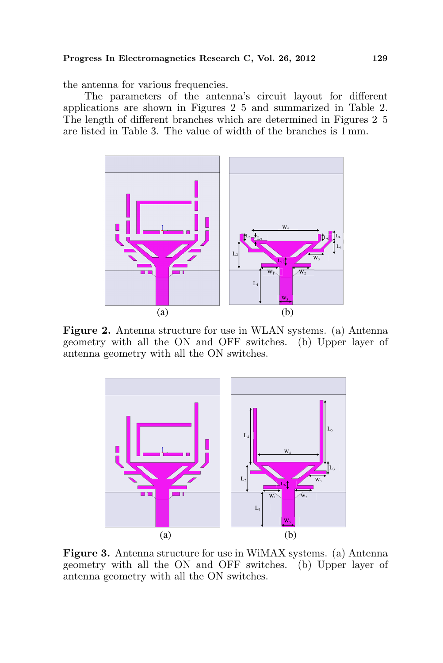#### Progress In Electromagnetics Research C, Vol. 26, 2012 129

the antenna for various frequencies.

The parameters of the antenna's circuit layout for different applications are shown in Figures 2–5 and summarized in Table 2. The length of different branches which are determined in Figures 2–5 are listed in Table 3. The value of width of the branches is 1 mm.



Figure 2. Antenna structure for use in WLAN systems. (a) Antenna geometry with all the ON and OFF switches. (b) Upper layer of antenna geometry with all the ON switches.



Figure 3. Antenna structure for use in WiMAX systems. (a) Antenna geometry with all the ON and OFF switches. (b) Upper layer of antenna geometry with all the ON switches.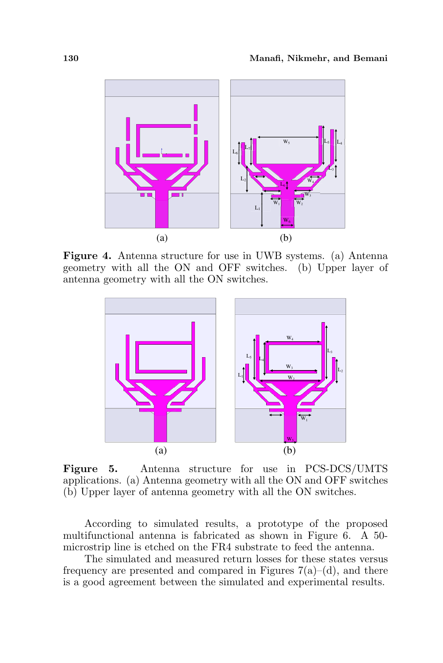

Figure 4. Antenna structure for use in UWB systems. (a) Antenna geometry with all the ON and OFF switches. (b) Upper layer of antenna geometry with all the ON switches.



Figure 5. Antenna structure for use in PCS-DCS/UMTS applications. (a) Antenna geometry with all the ON and OFF switches (b) Upper layer of antenna geometry with all the ON switches.

According to simulated results, a prototype of the proposed multifunctional antenna is fabricated as shown in Figure 6. A 50 microstrip line is etched on the FR4 substrate to feed the antenna.

The simulated and measured return losses for these states versus frequency are presented and compared in Figures  $7(a)$ –(d), and there is a good agreement between the simulated and experimental results.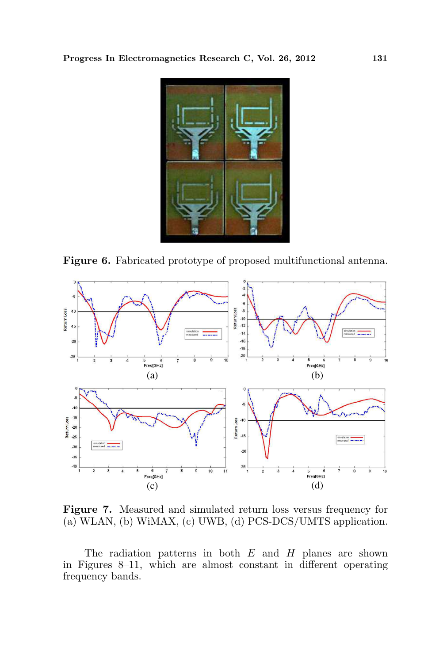

Figure 6. Fabricated prototype of proposed multifunctional antenna.



Figure 7. Measured and simulated return loss versus frequency for (a) WLAN, (b) WiMAX, (c) UWB, (d) PCS-DCS/UMTS application.

The radiation patterns in both  $E$  and  $H$  planes are shown in Figures 8–11, which are almost constant in different operating frequency bands.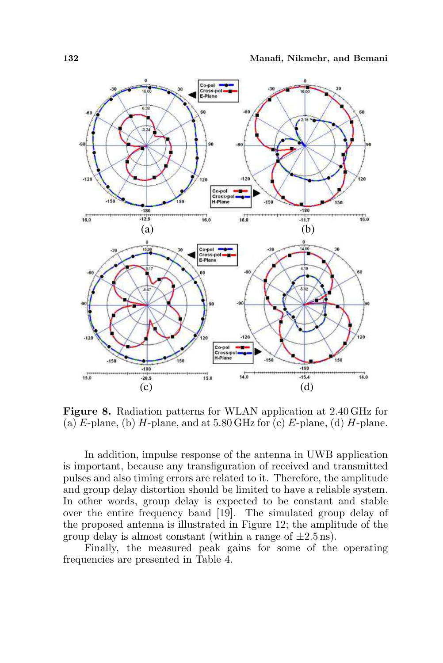

Figure 8. Radiation patterns for WLAN application at 2.40 GHz for (a) E-plane, (b) H-plane, and at  $5.80$  GHz for (c) E-plane, (d) H-plane.

In addition, impulse response of the antenna in UWB application is important, because any transfiguration of received and transmitted pulses and also timing errors are related to it. Therefore, the amplitude and group delay distortion should be limited to have a reliable system. In other words, group delay is expected to be constant and stable over the entire frequency band [19]. The simulated group delay of the proposed antenna is illustrated in Figure 12; the amplitude of the group delay is almost constant (within a range of  $\pm 2.5$  ns).

Finally, the measured peak gains for some of the operating frequencies are presented in Table 4.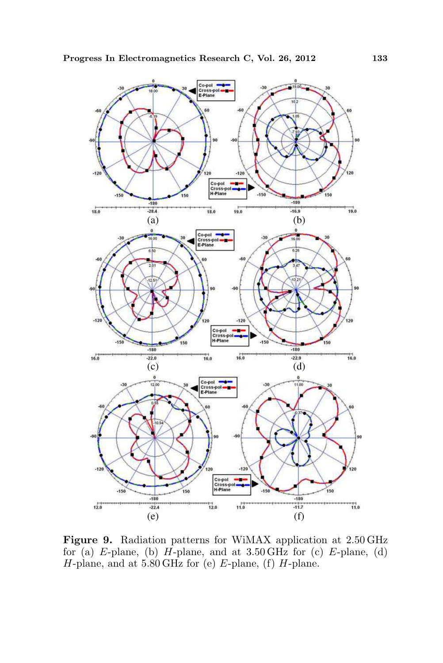

Figure 9. Radiation patterns for WiMAX application at 2.50 GHz for (a) E-plane, (b)  $\overline{H}$ -plane, and at 3.50 GHz for (c) E-plane, (d) H-plane, and at  $5.80$  GHz for (e) E-plane, (f) H-plane.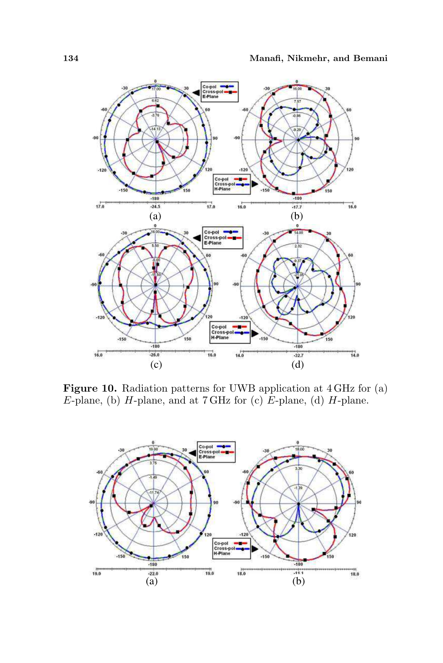

Figure 10. Radiation patterns for UWB application at 4 GHz for (a) E-plane, (b) H-plane, and at 7 GHz for (c)  $\overrightarrow{E}$ -plane, (d) H-plane.

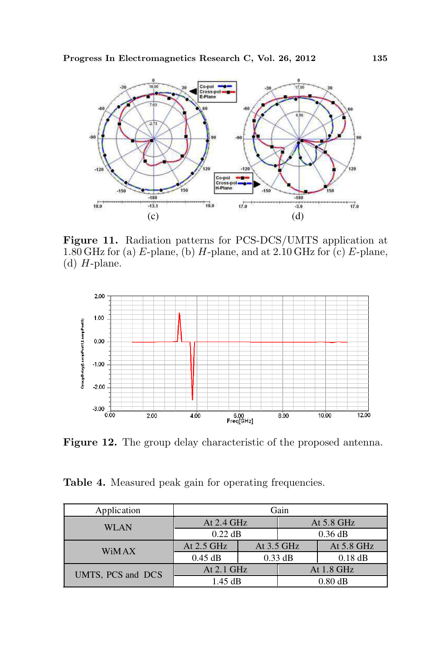

Figure 11. Radiation patterns for PCS-DCS/UMTS application at 1.80 GHz for (a) E-plane, (b) H-plane, and at  $2.10$  GHz for (c) E-plane, (d)  $H$ -plane.



Figure 12. The group delay characteristic of the proposed antenna.

Table 4. Measured peak gain for operating frequencies.

| Application       | Gain         |  |                        |            |  |  |  |
|-------------------|--------------|--|------------------------|------------|--|--|--|
| <b>WLAN</b>       | At $2.4$ GHz |  | At 5.8 GHz             |            |  |  |  |
|                   | $0.22$ dB    |  | $0.36$ dB              |            |  |  |  |
| WiMAX             | At $2.5$ GHz |  | At $3.5$ GHz           | At 5.8 GHz |  |  |  |
|                   | $0.45$ dB    |  | $0.33$ dB<br>$0.18$ dB |            |  |  |  |
| UMTS, PCS and DCS | At $2.1$ GHz |  | At $1.8$ GHz           |            |  |  |  |
|                   | $1.45$ dB    |  | $0.80$ dB              |            |  |  |  |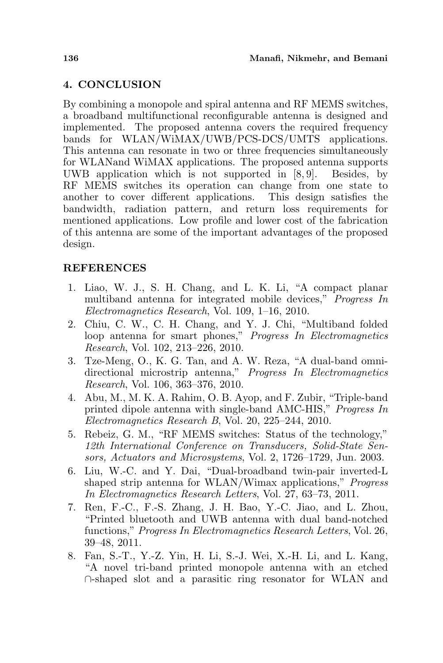# 4. CONCLUSION

By combining a monopole and spiral antenna and RF MEMS switches, a broadband multifunctional reconfigurable antenna is designed and implemented. The proposed antenna covers the required frequency bands for WLAN/WiMAX/UWB/PCS-DCS/UMTS applications. This antenna can resonate in two or three frequencies simultaneously for WLANand WiMAX applications. The proposed antenna supports UWB application which is not supported in [8, 9]. Besides, by RF MEMS switches its operation can change from one state to another to cover different applications. This design satisfies the bandwidth, radiation pattern, and return loss requirements for mentioned applications. Low profile and lower cost of the fabrication of this antenna are some of the important advantages of the proposed design.

## REFERENCES

- 1. Liao, W. J., S. H. Chang, and L. K. Li, "A compact planar multiband antenna for integrated mobile devices," Progress In Electromagnetics Research, Vol. 109, 1–16, 2010.
- 2. Chiu, C. W., C. H. Chang, and Y. J. Chi, "Multiband folded loop antenna for smart phones," Progress In Electromagnetics Research, Vol. 102, 213–226, 2010.
- 3. Tze-Meng, O., K. G. Tan, and A. W. Reza, "A dual-band omnidirectional microstrip antenna," Progress In Electromagnetics Research, Vol. 106, 363–376, 2010.
- 4. Abu, M., M. K. A. Rahim, O. B. Ayop, and F. Zubir, "Triple-band printed dipole antenna with single-band AMC-HIS," Progress In Electromagnetics Research B, Vol. 20, 225–244, 2010.
- 5. Rebeiz, G. M., "RF MEMS switches: Status of the technology," 12th International Conference on Transducers, Solid-State Sensors, Actuators and Microsystems, Vol. 2, 1726–1729, Jun. 2003.
- 6. Liu, W.-C. and Y. Dai, "Dual-broadband twin-pair inverted-L shaped strip antenna for WLAN/Wimax applications," Progress In Electromagnetics Research Letters, Vol. 27, 63–73, 2011.
- 7. Ren, F.-C., F.-S. Zhang, J. H. Bao, Y.-C. Jiao, and L. Zhou, "Printed bluetooth and UWB antenna with dual band-notched functions," Progress In Electromagnetics Research Letters, Vol. 26, 39–48, 2011.
- 8. Fan, S.-T., Y.-Z. Yin, H. Li, S.-J. Wei, X.-H. Li, and L. Kang, "A novel tri-band printed monopole antenna with an etched ∩-shaped slot and a parasitic ring resonator for WLAN and